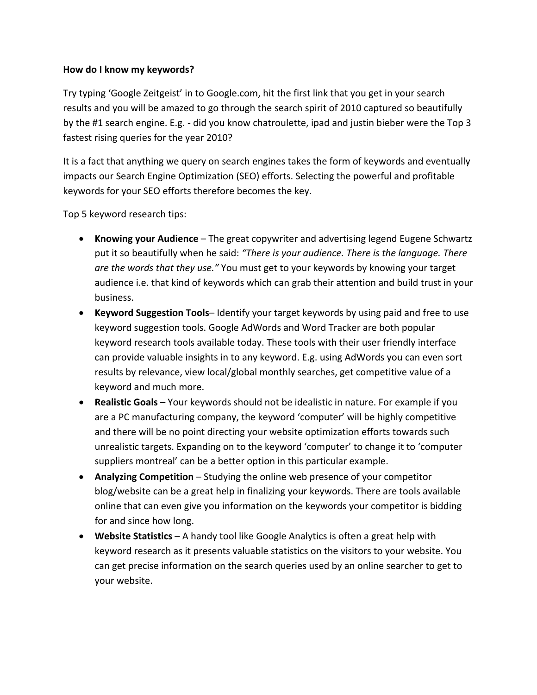## **How do I know my keywords?**

Try typing 'Google Zeitgeist' in to Google.com, hit the first link that you get in your search results and you will be amazed to go through the search spirit of 2010 captured so beautifully by the #1 search engine. E.g. ‐ did you know chatroulette, ipad and justin bieber were the Top 3 fastest rising queries for the year 2010?

It is a fact that anything we query on search engines takes the form of keywords and eventually impacts our Search Engine Optimization (SEO) efforts. Selecting the powerful and profitable keywords for your SEO efforts therefore becomes the key.

Top 5 keyword research tips:

- **Knowing your Audience** The great copywriter and advertising legend Eugene Schwartz put it so beautifully when he said: *"There is your audience. There is the language. There are the words that they use."* You must get to your keywords by knowing your target audience i.e. that kind of keywords which can grab their attention and build trust in your business.
- **Keyword Suggestion Tools** Identify your target keywords by using paid and free to use keyword suggestion tools. Google AdWords and Word Tracker are both popular keyword research tools available today. These tools with their user friendly interface can provide valuable insights in to any keyword. E.g. using AdWords you can even sort results by relevance, view local/global monthly searches, get competitive value of a keyword and much more.
- **Realistic Goals** Your keywords should not be idealistic in nature. For example if you are a PC manufacturing company, the keyword 'computer' will be highly competitive and there will be no point directing your website optimization efforts towards such unrealistic targets. Expanding on to the keyword 'computer' to change it to 'computer suppliers montreal' can be a better option in this particular example.
- **Analyzing Competition** Studying the online web presence of your competitor blog/website can be a great help in finalizing your keywords. There are tools available online that can even give you information on the keywords your competitor is bidding for and since how long.
- **Website Statistics** A handy tool like Google Analytics is often a great help with keyword research as it presents valuable statistics on the visitors to your website. You can get precise information on the search queries used by an online searcher to get to your website.